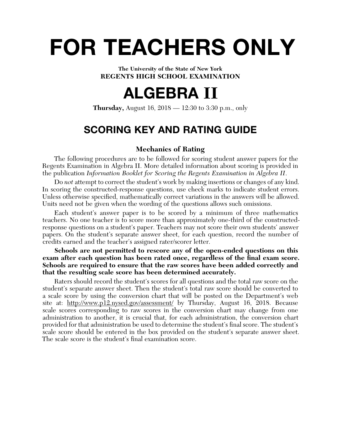# **FOR TEACHERS ONLY**

**The University of the State of New York REGENTS HIGH SCHOOL EXAMINATION**

## **ALGEBRA II**

**Thursday,** August 16, 2018 — 12:30 to 3:30 p.m., only

## **SCORING KEY AND RATING GUIDE**

## **Mechanics of Rating**

The following procedures are to be followed for scoring student answer papers for the Regents Examination in Algebra II. More detailed information about scoring is provided in the publication *Information Booklet for Scoring the Regents Examination in Algebra II*.

Do *not* attempt to correct the student's work by making insertions or changes of any kind. In scoring the constructed-response questions, use check marks to indicate student errors. Unless otherwise specified, mathematically correct variations in the answers will be allowed. Units need not be given when the wording of the questions allows such omissions.

Each student's answer paper is to be scored by a minimum of three mathematics teachers. No one teacher is to score more than approximately one-third of the constructedresponse questions on a student's paper. Teachers may not score their own students' answer papers. On the student's separate answer sheet, for each question, record the number of credits earned and the teacher's assigned rater/scorer letter.

**Schools are not permitted to rescore any of the open-ended questions on this**  exam after each question has been rated once, regardless of the final exam score. **Schools are required to ensure that the raw scores have been added correctly and that the resulting scale score has been determined accurately.**

Raters should record the student's scores for all questions and the total raw score on the student's separate answer sheet. Then the student's total raw score should be converted to a scale score by using the conversion chart that will be posted on the Department's web site at: http://www.p12.nysed.gov/assessment/ by Thursday, August 16, 2018. Because scale scores corresponding to raw scores in the conversion chart may change from one administration to another, it is crucial that, for each administration, the conversion chart provided for that administration be used to determine the student's final score. The student's scale score should be entered in the box provided on the student's separate answer sheet. The scale score is the student's final examination score.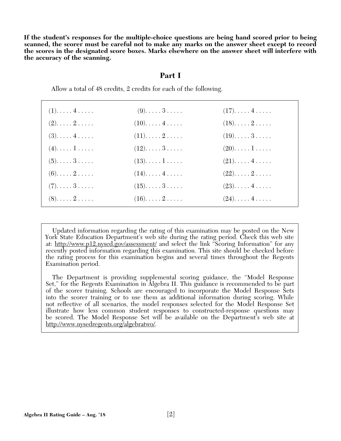**If the student's responses for the multiple-choice questions are being hand scored prior to being scanned, the scorer must be careful not to make any marks on the answer sheet except to record the scores in the designated score boxes. Marks elsewhere on the answer sheet will interfere with the accuracy of the scanning.**

## **Part I**

Allow a total of 48 credits, 2 credits for each of the following.

| $(1)$ $4$                      | $(9)$ . 3                      | $(17)$ $4$            |  |
|--------------------------------|--------------------------------|-----------------------|--|
| $(2). \ldots . 2$              | $(10)$ $4$                     | $(18)\ldots 2 \ldots$ |  |
| $(3)$ $4$                      | $(11). \ldots .2 \ldots .$     | $(19)$ . 3            |  |
| $(4)$ $1$                      | $(12)$ 3                       | $(20)$ $1$            |  |
| $(5)$ . $\ldots$ 3. $\ldots$ . | $(13)$ $1$                     | $(21)$ $4$            |  |
| $(6)$ . 2                      | $(14)$ $4$                     | $(22)$ $2$            |  |
| $(7)$ . 3                      | $(15)$ . $\dots$ . $3 \dots$ . | $(23)$ $4$            |  |
| $(8)$ . 2                      | $(16)$ $2$                     | $(24)$ $4$            |  |
|                                |                                |                       |  |

 Updated information regarding the rating of this examination may be posted on the New York State Education Department's web site during the rating period. Check this web site at: http://www.p12.nysed.gov/assessment/ and select the link "Scoring Information" for any recently posted information regarding this examination. This site should be checked before the rating process for this examination begins and several times throughout the Regents Examination period.

 The Department is providing supplemental scoring guidance, the "Model Response Set," for the Regents Examination in Algebra II. This guidance is recommended to be part of the scorer training. Schools are encouraged to incorporate the Model Response Sets into the scorer training or to use them as additional information during scoring. While not refl ective of all scenarios, the model responses selected for the Model Response Set illustrate how less common student responses to constructed-response questions may be scored. The Model Response Set will be available on the Department's web site at http://www.nysedregents.org/algebratwo/.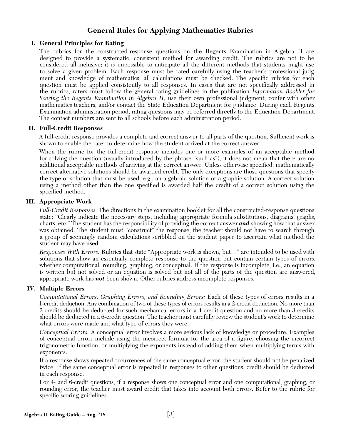## **General Rules for Applying Mathematics Rubrics**

## **I. General Principles for Rating**

The rubrics for the constructed-response questions on the Regents Examination in Algebra II are designed to provide a systematic, consistent method for awarding credit. The rubrics are not to be considered all-inclusive; it is impossible to anticipate all the different methods that students might use to solve a given problem. Each response must be rated carefully using the teacher's professional judgment and knowledge of mathematics; all calculations must be checked. The specific rubrics for each question must be applied consistently to all responses. In cases that are not specifically addressed in the rubrics, raters must follow the general rating guidelines in the publication *Information Booklet for Scoring the Regents Examination in Algebra II*, use their own professional judgment, confer with other mathematics teachers, and/or contact the State Education Department for guidance. During each Regents Examination administration period, rating questions may be referred directly to the Education Department. The contact numbers are sent to all schools before each administration period.

## **II. Full-Credit Responses**

A full-credit response provides a complete and correct answer to all parts of the question. Sufficient work is shown to enable the rater to determine how the student arrived at the correct answer.

When the rubric for the full-credit response includes one or more examples of an acceptable method for solving the question (usually introduced by the phrase "such as"), it does not mean that there are no additional acceptable methods of arriving at the correct answer. Unless otherwise specified, mathematically correct alternative solutions should be awarded credit. The only exceptions are those questions that specify the type of solution that must be used; e.g., an algebraic solution or a graphic solution. A correct solution using a method other than the one specified is awarded half the credit of a correct solution using the specified method.

## **III. Appropriate Work**

*Full-Credit Responses:* The directions in the examination booklet for all the constructed-response questions state: "Clearly indicate the necessary steps, including appropriate formula substitutions, diagrams, graphs, charts, etc." The student has the responsibility of providing the correct answer *and* showing how that answer was obtained. The student must "construct" the response; the teacher should not have to search through a group of seemingly random calculations scribbled on the student paper to ascertain what method the student may have used.

*Responses With Errors:* Rubrics that state "Appropriate work is shown, but…" are intended to be used with solutions that show an essentially complete response to the question but contain certain types of errors, whether computational, rounding, graphing, or conceptual. If the response is incomplete; i.e., an equation is written but not solved or an equation is solved but not all of the parts of the question are answered, appropriate work has *not* been shown. Other rubrics address incomplete responses.

## **IV. Multiple Errors**

*Computational Errors, Graphing Errors, and Rounding Errors:* Each of these types of errors results in a 1-credit deduction. Any combination of two of these types of errors results in a 2-credit deduction. No more than 2 credits should be deducted for such mechanical errors in a 4-credit question and no more than 3 credits should be deducted in a 6-credit question. The teacher must carefully review the student's work to determine what errors were made and what type of errors they were.

*Conceptual Errors:* A conceptual error involves a more serious lack of knowledge or procedure. Examples of conceptual errors include using the incorrect formula for the area of a figure, choosing the incorrect trigonometric function, or multiplying the exponents instead of adding them when multiplying terms with exponents.

If a response shows repeated occurrences of the same conceptual error, the student should not be penalized twice. If the same conceptual error is repeated in responses to other questions, credit should be deducted in each response.

For 4- and 6-credit questions, if a response shows one conceptual error and one computational, graphing, or rounding error, the teacher must award credit that takes into account both errors. Refer to the rubric for specific scoring guidelines.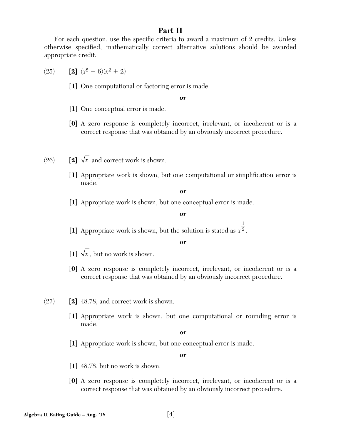## **Part II**

For each question, use the specific criteria to award a maximum of 2 credits. Unless otherwise specified, mathematically correct alternative solutions should be awarded appropriate credit.

- $(25)$  **[2]**  $(x^2 6)(x^2 + 2)$ 
	- **[1]** One computational or factoring error is made.

*or*

- **[1]** One conceptual error is made.
- **[0]** A zero response is completely incorrect, irrelevant, or incoherent or is a correct response that was obtained by an obviously incorrect procedure.
- (26)  $\boxed{2} \sqrt{x}$  and correct work is shown.
	- **[1]** Appropriate work is shown, but one computational or simplification error is made.

*or*

**[1]** Appropriate work is shown, but one conceptual error is made.

*or*

1

**[1]** Appropriate work is shown, but the solution is stated as *x* 2 .

*or*

- $\boxed{1}$   $\sqrt{x}$ , but no work is shown.
- **[0]** A zero response is completely incorrect, irrelevant, or incoherent or is a correct response that was obtained by an obviously incorrect procedure.
- (27) **[2]** 48.78, and correct work is shown.
	- **[1]** Appropriate work is shown, but one computational or rounding error is made.

*or*

**[1]** Appropriate work is shown, but one conceptual error is made.

- **[1]** 48.78, but no work is shown.
- **[0]** A zero response is completely incorrect, irrelevant, or incoherent or is a correct response that was obtained by an obviously incorrect procedure.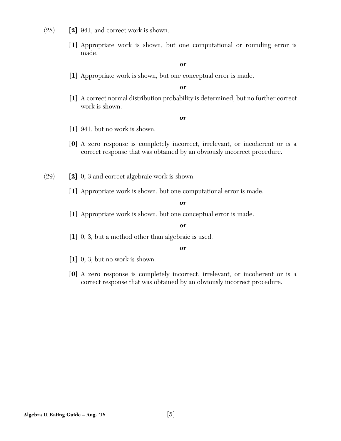- (28) **[2]** 941, and correct work is shown.
	- **[1]** Appropriate work is shown, but one computational or rounding error is made.

**[1]** Appropriate work is shown, but one conceptual error is made.

## *or*

**[1]** A correct normal distribution probability is determined, but no further correct work is shown.

#### *or*

- **[1]** 941, but no work is shown.
- **[0]** A zero response is completely incorrect, irrelevant, or incoherent or is a correct response that was obtained by an obviously incorrect procedure.
- (29) **[2]** 0, 3 and correct algebraic work is shown.
	- **[1]** Appropriate work is shown, but one computational error is made.

#### *or*

**[1]** Appropriate work is shown, but one conceptual error is made.

## *or*

**[1]** 0, 3, but a method other than algebraic is used.

- **[1]** 0, 3, but no work is shown.
- **[0]** A zero response is completely incorrect, irrelevant, or incoherent or is a correct response that was obtained by an obviously incorrect procedure.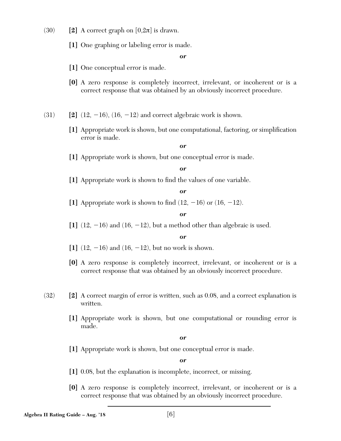- (30) **[2]** A correct graph on  $[0,2\pi]$  is drawn.
	- **[1]** One graphing or labeling error is made.

- **[1]** One conceptual error is made.
- **[0]** A zero response is completely incorrect, irrelevant, or incoherent or is a correct response that was obtained by an obviously incorrect procedure.
- $(31)$  **[2]**  $(12, -16)$ ,  $(16, -12)$  and correct algebraic work is shown.
	- [1] Appropriate work is shown, but one computational, factoring, or simplification error is made.

## *or*

**[1]** Appropriate work is shown, but one conceptual error is made.

## *or*

[1] Appropriate work is shown to find the values of one variable.

## *or*

[1] Appropriate work is shown to find  $(12, -16)$  or  $(16, -12)$ .

## *or*

 $\left[1\right]$  (12,  $-16$ ) and (16,  $-12$ ), but a method other than algebraic is used.

## *or*

- $[1]$   $(12, -16)$  and  $(16, -12)$ , but no work is shown.
- **[0]** A zero response is completely incorrect, irrelevant, or incoherent or is a correct response that was obtained by an obviously incorrect procedure.
- (32) **[2]** A correct margin of error is written, such as 0.08, and a correct explanation is written.
	- **[1]** Appropriate work is shown, but one computational or rounding error is made.

#### *or*

**[1]** Appropriate work is shown, but one conceptual error is made.

- **[1]** 0.08, but the explanation is incomplete, incorrect, or missing.
- **[0]** A zero response is completely incorrect, irrelevant, or incoherent or is a correct response that was obtained by an obviously incorrect procedure.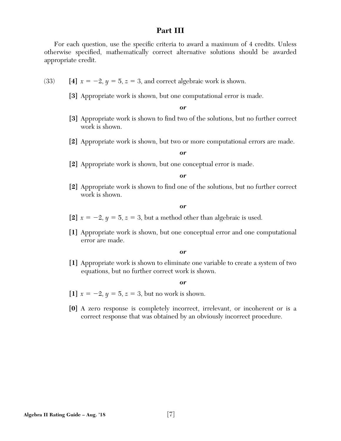## **Part III**

For each question, use the specific criteria to award a maximum of 4 credits. Unless otherwise specified, mathematically correct alternative solutions should be awarded appropriate credit.

- (33) **[4]**  $x = -2$ ,  $y = 5$ ,  $z = 3$ , and correct algebraic work is shown.
	- **[3]** Appropriate work is shown, but one computational error is made.

*or*

- [3] Appropriate work is shown to find two of the solutions, but no further correct work is shown.
- **[2]** Appropriate work is shown, but two or more computational errors are made.

*or*

**[2]** Appropriate work is shown, but one conceptual error is made.

*or*

[2] Appropriate work is shown to find one of the solutions, but no further correct work is shown.

*or*

- [2]  $x = -2$ ,  $y = 5$ ,  $z = 3$ , but a method other than algebraic is used.
- **[1]** Appropriate work is shown, but one conceptual error and one computational error are made.

#### *or*

**[1]** Appropriate work is shown to eliminate one variable to create a system of two equations, but no further correct work is shown.

- [1]  $x = -2, y = 5, z = 3$ , but no work is shown.
- **[0]** A zero response is completely incorrect, irrelevant, or incoherent or is a correct response that was obtained by an obviously incorrect procedure.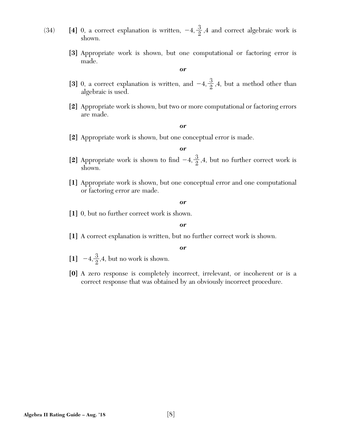- 
- (34) **[4]** 0, a correct explanation is written,  $-4$ ,  $\frac{3}{2}$ , 4 and correct algebraic work is shown.
	- **[3]** Appropriate work is shown, but one computational or factoring error is made.

- [3] 0, a correct explanation is written, and  $-4, \frac{3}{2}, 4$ , but a method other than algebraic is used.
- **[2]** Appropriate work is shown, but two or more computational or factoring errors are made.

*or*

**[2]** Appropriate work is shown, but one conceptual error is made.

*or*

- [2] Appropriate work is shown to find  $-4, \frac{3}{2}, 4$ , but no further correct work is shown.
- **[1]** Appropriate work is shown, but one conceptual error and one computational or factoring error are made.

*or*

**[1]** 0, but no further correct work is shown.

#### *or*

**[1]** A correct explanation is written, but no further correct work is shown.

- [1]  $-4, \frac{3}{2}, 4$ , but no work is shown.
- **[0]** A zero response is completely incorrect, irrelevant, or incoherent or is a correct response that was obtained by an obviously incorrect procedure.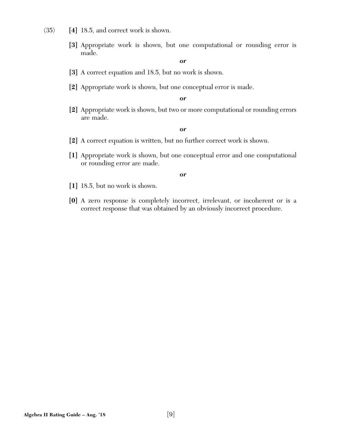- (35) **[4]** 18.5, and correct work is shown.
	- **[3]** Appropriate work is shown, but one computational or rounding error is made.

- **[3]** A correct equation and 18.5, but no work is shown.
- **[2]** Appropriate work is shown, but one conceptual error is made.

*or*

**[2]** Appropriate work is shown, but two or more computational or rounding errors are made.

## *or*

- **[2]** A correct equation is written, but no further correct work is shown.
- **[1]** Appropriate work is shown, but one conceptual error and one computational or rounding error are made.

- **[1]** 18.5, but no work is shown.
- **[0]** A zero response is completely incorrect, irrelevant, or incoherent or is a correct response that was obtained by an obviously incorrect procedure.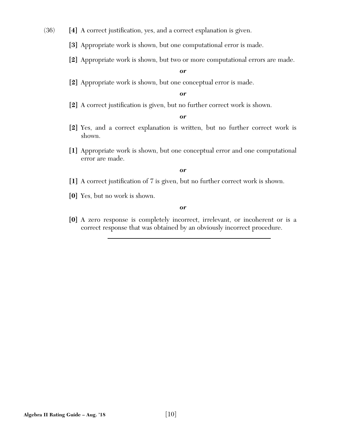(36) [4] A correct justification, yes, and a correct explanation is given.

**[3]** Appropriate work is shown, but one computational error is made.

**[2]** Appropriate work is shown, but two or more computational errors are made.

## *or*

**[2]** Appropriate work is shown, but one conceptual error is made.

#### *or*

[2] A correct justification is given, but no further correct work is shown.

#### *or*

- **[2]** Yes, and a correct explanation is written, but no further correct work is shown.
- **[1]** Appropriate work is shown, but one conceptual error and one computational error are made.

## *or*

- [1] A correct justification of 7 is given, but no further correct work is shown.
- **[0]** Yes, but no work is shown.

## *or*

**[0]** A zero response is completely incorrect, irrelevant, or incoherent or is a correct response that was obtained by an obviously incorrect procedure.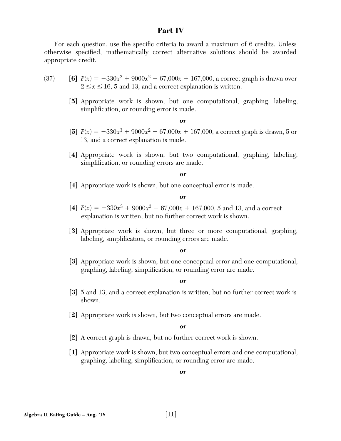## **Part IV**

For each question, use the specific criteria to award a maximum of 6 credits. Unless otherwise specified, mathematically correct alternative solutions should be awarded appropriate credit.

- (37) **[6]**  $P(x) = -330x^3 + 9000x^2 67{,}000x + 167{,}000$ , a correct graph is drawn over  $2 \le x \le 16$ , 5 and 13, and a correct explanation is written.
	- **[5]** Appropriate work is shown, but one computational, graphing, labeling, simplification, or rounding error is made.

*or*

- **[5]**  $P(x) = -330x^3 + 9000x^2 67{,}000x + 167{,}000$ , a correct graph is drawn, 5 or 13, and a correct explanation is made.
- **[4]** Appropriate work is shown, but two computational, graphing, labeling, simplification, or rounding errors are made.

*or*

**[4]** Appropriate work is shown, but one conceptual error is made.

#### *or*

- [4]  $P(x) = -330x^3 + 9000x^2 67{,}000x + 167{,}000$ , 5 and 13, and a correct explanation is written, but no further correct work is shown.
- **[3]** Appropriate work is shown, but three or more computational, graphing, labeling, simplification, or rounding errors are made.

## *or*

**[3]** Appropriate work is shown, but one conceptual error and one computational, graphing, labeling, simplification, or rounding error are made.

#### *or*

- **[3]** 5 and 13, and a correct explanation is written, but no further correct work is shown.
- **[2]** Appropriate work is shown, but two conceptual errors are made.

#### *or*

- **[2]** A correct graph is drawn, but no further correct work is shown.
- **[1]** Appropriate work is shown, but two conceptual errors and one computational, graphing, labeling, simplification, or rounding error are made.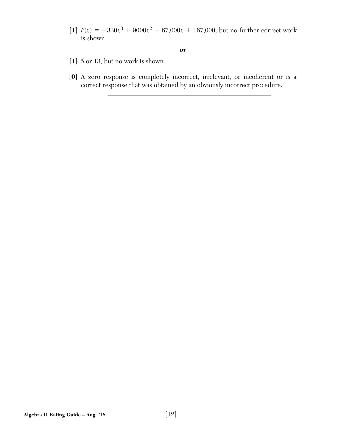[1]  $P(x) = -330x^3 + 9000x^2 - 67{,}000x + 167{,}000$ , but no further correct work is shown.

- **[1]** 5 or 13, but no work is shown.
- **[0]** A zero response is completely incorrect, irrelevant, or incoherent or is a correct response that was obtained by an obviously incorrect procedure.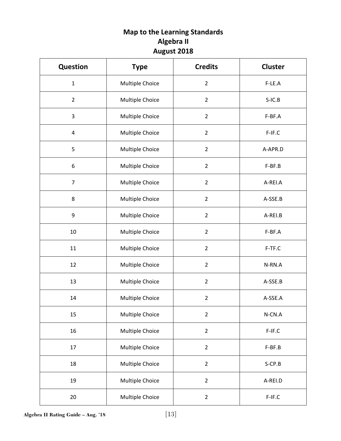## **Map to the Learning Standards Algebra II August 2018**

| <b>Question</b> | <b>Type</b>     | <b>Credits</b> | <b>Cluster</b> |
|-----------------|-----------------|----------------|----------------|
| $\mathbf{1}$    | Multiple Choice | $\overline{2}$ | F-LE.A         |
| $\overline{2}$  | Multiple Choice | $\overline{2}$ | $S-IC.B$       |
| 3               | Multiple Choice | $\overline{2}$ | F-BF.A         |
| 4               | Multiple Choice | $\overline{2}$ | $F-IF.C$       |
| 5               | Multiple Choice | $\overline{2}$ | A-APR.D        |
| 6               | Multiple Choice | $\overline{2}$ | F-BF.B         |
| $\overline{7}$  | Multiple Choice | $\overline{2}$ | A-REI.A        |
| 8               | Multiple Choice | $\overline{2}$ | A-SSE.B        |
| 9               | Multiple Choice | $\overline{2}$ | A-REI.B        |
| 10              | Multiple Choice | $\overline{2}$ | $F-BF.A$       |
| 11              | Multiple Choice | $\overline{2}$ | F-TF.C         |
| 12              | Multiple Choice | $\overline{2}$ | N-RN.A         |
| 13              | Multiple Choice | $\overline{2}$ | A-SSE.B        |
| 14              | Multiple Choice | $\overline{2}$ | A-SSE.A        |
| 15              | Multiple Choice | $\overline{2}$ | $N$ -CN. $A$   |
| 16              | Multiple Choice | $\overline{2}$ | $F-IF.C$       |
| 17              | Multiple Choice | $\overline{2}$ | F-BF.B         |
| 18              | Multiple Choice | $\overline{2}$ | S-CP.B         |
| 19              | Multiple Choice | $\overline{2}$ | A-REI.D        |
| 20              | Multiple Choice | $\overline{2}$ | $F-IF.C$       |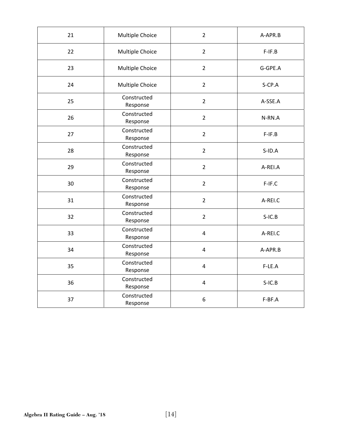| 21 | Multiple Choice         | $\overline{2}$          | A-APR.B   |
|----|-------------------------|-------------------------|-----------|
| 22 | Multiple Choice         | $\overline{2}$          | $F-IF.B$  |
| 23 | Multiple Choice         | $\overline{2}$          | G-GPE.A   |
| 24 | Multiple Choice         | $\overline{2}$          | S-CP.A    |
| 25 | Constructed<br>Response | $\overline{2}$          | A-SSE.A   |
| 26 | Constructed<br>Response | $\overline{2}$          | N-RN.A    |
| 27 | Constructed<br>Response | $\overline{2}$          | $F-IF.B$  |
| 28 | Constructed<br>Response | $\overline{2}$          | $S$ -ID.A |
| 29 | Constructed<br>Response | $\overline{2}$          | A-REI.A   |
| 30 | Constructed<br>Response | $\overline{2}$          | F-IF.C    |
| 31 | Constructed<br>Response | $\overline{2}$          | A-REI.C   |
| 32 | Constructed<br>Response | $\overline{2}$          | $S-IC.B$  |
| 33 | Constructed<br>Response | $\overline{4}$          | A-REI.C   |
| 34 | Constructed<br>Response | $\overline{\mathbf{4}}$ | A-APR.B   |
| 35 | Constructed<br>Response | $\overline{4}$          | F-LE.A    |
| 36 | Constructed<br>Response | $\overline{4}$          | $S-IC.B$  |
| 37 | Constructed<br>Response | 6                       | F-BF.A    |